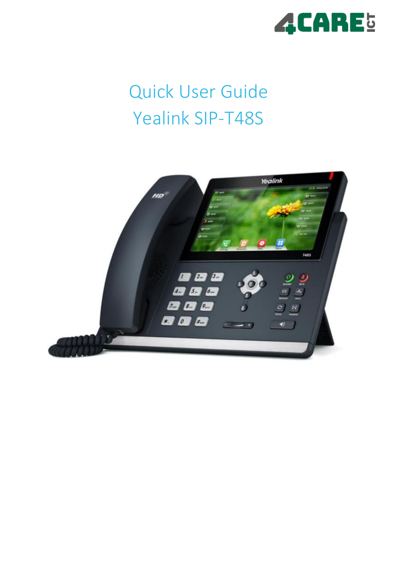

# Quick User Guide Yealink SIP-T48S

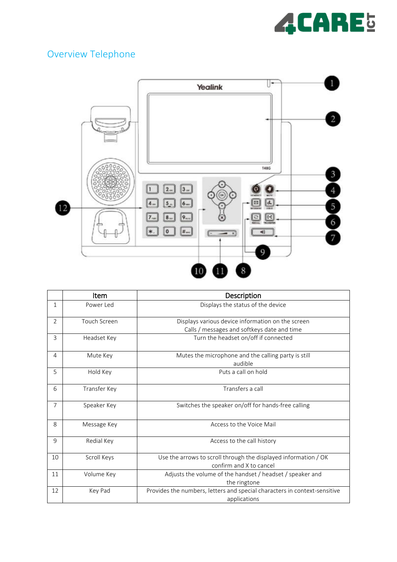

# Overview Telephone



|                | Item         | Description                                                                                      |
|----------------|--------------|--------------------------------------------------------------------------------------------------|
| 1              | Power Led    | Displays the status of the device                                                                |
| $\overline{2}$ | Touch Screen | Displays various device information on the screen<br>Calls / messages and softkeys date and time |
| 3              | Headset Key  | Turn the headset on/off if connected                                                             |
| 4              | Mute Key     | Mutes the microphone and the calling party is still<br>audible                                   |
| 5              | Hold Key     | Puts a call on hold                                                                              |
| 6              | Transfer Key | Transfers a call                                                                                 |
| 7              | Speaker Key  | Switches the speaker on/off for hands-free calling                                               |
| 8              | Message Key  | Access to the Voice Mail                                                                         |
| 9              | Redial Key   | Access to the call history                                                                       |
| 10             | Scroll Keys  | Use the arrows to scroll through the displayed information / OK<br>confirm and X to cancel       |
| 11             | Volume Key   | Adjusts the volume of the handset / headset / speaker and<br>the ringtone                        |
| 12             | Key Pad      | Provides the numbers, letters and special characters in context-sensitive<br>applications        |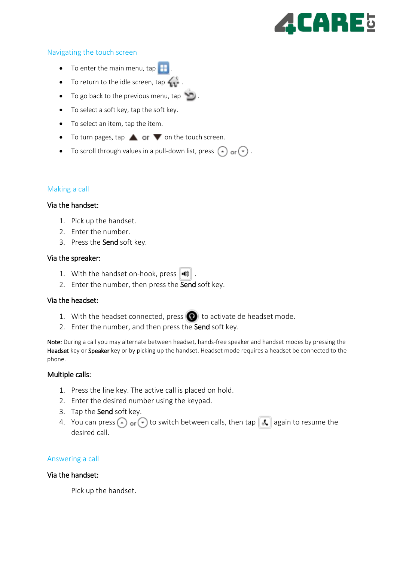# CARE5

#### Navigating the touch screen

- To enter the main menu, tap  $\mathbf{H}$
- To return to the idle screen, tap  $\mathbf{u}$ .
- To go back to the previous menu, tap
- To select a soft key, tap the soft key.
- To select an item, tap the item.
- To turn pages, tap  $\triangle$  or  $\triangledown$  on the touch screen.
- To scroll through values in a pull-down list, press  $\left(\cdot\right)$  or  $\left(\cdot\right)$ .

### Making a call

#### Via the handset:

- 1. Pick up the handset.
- 2. Enter the number.
- 3. Press the Send soft key.

#### Via the spreaker:

- 1. With the handset on-hook, press  $\|\cdot\|$ .
- 2. Enter the number, then press the Send soft key.

#### Via the headset:

- 1. With the headset connected, press  $\bigodot$  to activate de headset mode.
- 2. Enter the number, and then press the Send soft key.

Note: During a call you may alternate between headset, hands-free speaker and handset modes by pressing the Headset key or Speaker key or by picking up the handset. Headset mode requires a headset be connected to the phone.

#### Multiple calls:

- 1. Press the line key. The active call is placed on hold.
- 2. Enter the desired number using the keypad.
- 3. Tap the Send soft key.
- 4. You can press  $\left(\cdot\right)$  or  $\left(\cdot\right)$  to switch between calls, then tap  $\left[\mathcal{K}\right]$  again to resume the desired call.

#### Answering a call

#### Via the handset:

Pick up the handset.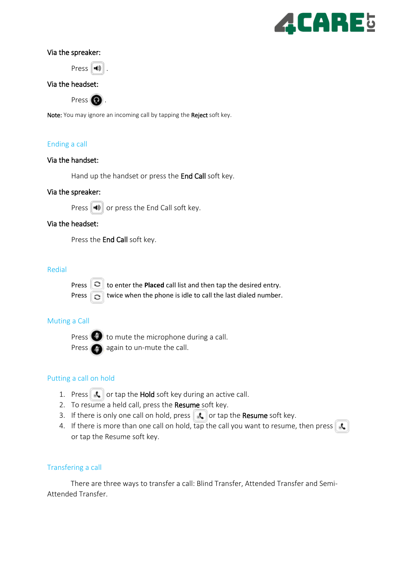

#### Via the spreaker:

Press  $\ket{\mathbf{I}}$ 

#### Via the headset:

Press  $\bigcirc$ .

Note: You may ignore an incoming call by tapping the Reject soft key.

### Ending a call

#### Via the handset:

Hand up the handset or press the End Call soft key.

#### Via the spreaker:

Press  $\|\cdot\|$  or press the End Call soft key.

#### Via the headset:

Press the End Call soft key.

#### Redial



Press  $\Box$  to enter the **Placed** call list and then tap the desired entry. Press  $\Box$  twice when the phone is idle to call the last dialed number.

#### Muting a Call

Press  $\bigodot$  to mute the microphone during a call. Press **a** again to un-mute the call.

#### Putting a call on hold

- 1. Press  $\left\| \mathbf{I} \right\|$  or tap the Hold soft key during an active call.
- 2. To resume a held call, press the Resume soft key.
- 3. If there is only one call on hold, press  $\|\cdot\|$  or tap the Resume soft key.
- 4. If there is more than one call on hold,  $tan$  the call you want to resume, then press  $\mathbf{R}$ or tap the Resume soft key.

#### Transfering a call

There are three ways to transfer a call: Blind Transfer, Attended Transfer and Semi-Attended Transfer.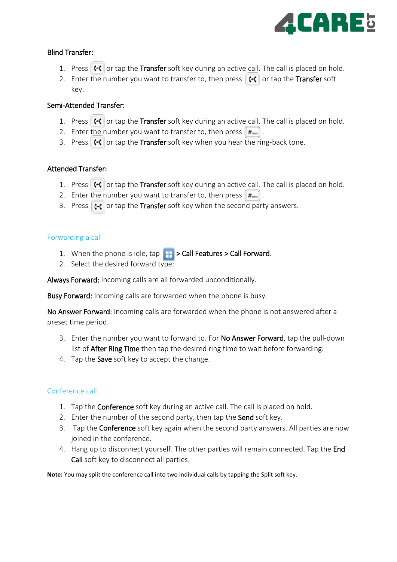

# Blind Transfer:

- 1. Press  $\lVert \cdot \rVert$  or tap the Transfer soft key during an active call. The call is placed on hold.
- 2. Enter the number you want to transfer to, then press  $\| \cdot \|$  or tap the Transfer soft key.

# Semi-Attended Transfer:

- 1. Press  $\lVert \cdot \cdot \rVert$  or tap the Transfer soft key during an active call. The call is placed on hold.
- 2. Enter the number you want to transfer to, then press  $\boxed{\text{H}_{\text{max}}}$ .
- 3. Press  $\lVert \cdot \rVert$  or tap the Transfer soft key when you hear the ring-back tone.

# Attended Transfer:

- 1. Press  $\lVert \cdot \rVert$  or tap the Transfer soft key during an active call. The call is placed on hold.
- 2. Enter the number you want to transfer to, then press  $\lceil \frac{m}{n} \rceil$ .
- 3. Press  $\left| \cdot \right|$  or tap the Transfer soft key when the second party answers.

# Forwarding a call

- 1. When the phone is idle,  $\tan \frac{1}{2}$  > Call Features > Call Forward.
- 2. Select the desired forward type:

Always Forward: Incoming calls are all forwarded unconditionally.

Busy Forward: Incoming calls are forwarded when the phone is busy.

No Answer Forward: Incoming calls are forwarded when the phone is not answered after a preset time period.

- 3. Enter the number you want to forward to. For No Answer Forward, tap the pull-down list of After Ring Time then tap the desired ring time to wait before forwarding.
- 4. Tap the **Save** soft key to accept the change.

# Conference call

- 1. Tap the **Conference** soft key during an active call. The call is placed on hold.
- 2. Enter the number of the second party, then tap the **Send** soft key.
- 3. Tap the **Conference** soft key again when the second party answers. All parties are now joined in the conference.
- 4. Hang up to disconnect yourself. The other parties will remain connected. Tap the End Call soft key to disconnect all parties.

**Note:** You may split the conference call into two individual calls by tapping the Split soft key.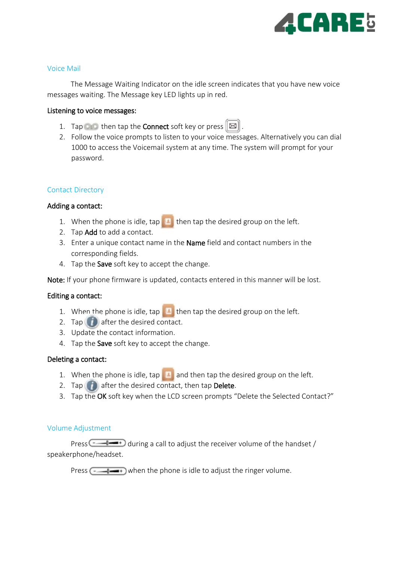

#### Voice Mail

The Message Waiting Indicator on the idle screen indicates that you have new voice messages waiting. The Message key LED lights up in red.

#### Listening to voice messages:

- 1. Tap then tap the **Connect** soft key or press  $\mathbb{E}$ .
- 2. Follow the voice prompts to listen to your voice messages. Alternatively you can dial 1000 to access the Voicemail system at any time. The system will prompt for your password.

#### Contact Directory

#### Adding a contact:

- 1. When the phone is idle,  $\tan \theta$  then tap the desired group on the left.
- 2. Tap Add to add a contact.
- 3. Enter a unique contact name in the Name field and contact numbers in the corresponding fields.
- 4. Tap the Save soft key to accept the change.

Note: If your phone firmware is updated, contacts entered in this manner will be lost.

#### Editing a contact:

- 1. When the phone is idle, tap then tap the desired group on the left.
- 2. Tap  $\Box$  after the desired contact.
- 3. Update the contact information.
- 4. Tap the Save soft key to accept the change.

#### Deleting a contact:

- 1. When the phone is idle,  $\tan \frac{1}{2}$  and then tap the desired group on the left.
- 2. Tap  $\Box$  after the desired contact, then tap Delete.
- 3. Tap the OK soft key when the LCD screen prompts "Delete the Selected Contact?"

#### Volume Adjustment

Press  $\overline{\bullet}$  during a call to adjust the receiver volume of the handset / speakerphone/headset.

Press  $\sqrt{u}$  when the phone is idle to adjust the ringer volume.